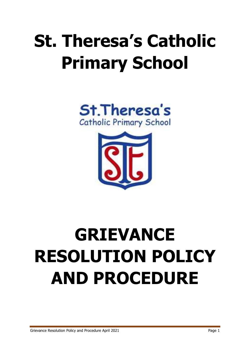# **St. Theresa's Catholic Primary School**





# **GRIEVANCE RESOLUTION POLICY AND PROCEDURE**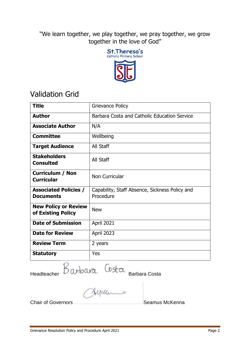"We learn together, we play together, we pray together, we grow together in the love of God"



## Validation Grid

| <b>Title</b>                                      | Grievance Policy                                            |
|---------------------------------------------------|-------------------------------------------------------------|
| <b>Author</b>                                     | Barbara Costa and Catholic Education Service                |
| <b>Associate Author</b>                           | N/A                                                         |
| <b>Committee</b>                                  | Wellbeing                                                   |
| <b>Target Audience</b>                            | All Staff                                                   |
| <b>Stakeholders</b><br><b>Consulted</b>           | All Staff                                                   |
| <b>Curriculum / Non</b><br><b>Curricular</b>      | Non Curricular                                              |
| <b>Associated Policies /</b><br><b>Documents</b>  | Capability, Staff Absence, Sickness Policy and<br>Procedure |
| <b>New Policy or Review</b><br>of Existing Policy | <b>New</b>                                                  |
| <b>Date of Submission</b>                         | April 2021                                                  |
| <b>Date for Review</b>                            | <b>April 2023</b>                                           |
| <b>Review Term</b>                                | 2 years                                                     |
| <b>Statutory</b>                                  | Yes                                                         |

Headteacher Barbara Costa Barbara Costa

Chair of Governors **Seamus McKenna**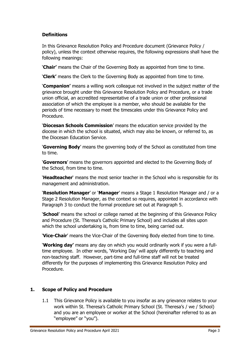#### **Definitions**

In this Grievance Resolution Policy and Procedure document (Grievance Policy / policy), unless the context otherwise requires, the following expressions shall have the following meanings:

'**Chair'** means the Chair of the Governing Body as appointed from time to time.

'**Clerk'** means the Clerk to the Governing Body as appointed from time to time.

'**Companion'** means a willing work colleague not involved in the subject matter of the grievance brought under this Grievance Resolution Policy and Procedure, or a trade union official, an accredited representative of a trade union or other professional association of which the employee is a member, who should be available for the periods of time necessary to meet the timescales under this Grievance Policy and Procedure.

'**Diocesan Schools Commission**' means the education service provided by the diocese in which the school is situated, which may also be known, or referred to, as the Diocesan Education Service.

'**Governing Body**' means the governing body of the School as constituted from time to time.

'**Governors**' means the governors appointed and elected to the Governing Body of the School, from time to time.

'**Headteacher**' means the most senior teacher in the School who is responsible for its management and administration.

'**Resolution Manager**' or '**Manager**' means a Stage 1 Resolution Manager and / or a Stage 2 Resolution Manager, as the context so requires, appointed in accordance with Paragraph 3 to conduct the formal procedure set out at Paragraph 5.

'**School**' means the school or college named at the beginning of this Grievance Policy and Procedure (St. Theresa's Catholic Primary School) and includes all sites upon which the school undertaking is, from time to time, being carried out.

'**Vice-Chair**' means the Vice-Chair of the Governing Body elected from time to time.

'**Working day'** means any day on which you would ordinarily work if you were a fulltime employee. In other words, 'Working Day' will apply differently to teaching and non-teaching staff. However, part-time and full-time staff will not be treated differently for the purposes of implementing this Grievance Resolution Policy and Procedure.

#### **1. Scope of Policy and Procedure**

1.1 This Grievance Policy is available to you insofar as any grievance relates to your work within St. Theresa's Catholic Primary School (St. Theresa's / we / School) and you are an employee or worker at the School (hereinafter referred to as an "employee" or "you").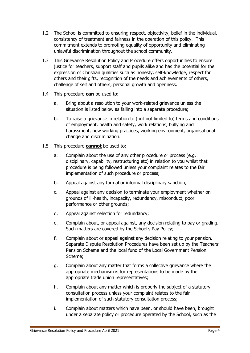- 1.2 The School is committed to ensuring respect, objectivity, belief in the individual, consistency of treatment and fairness in the operation of this policy. This commitment extends to promoting equality of opportunity and eliminating unlawful discrimination throughout the school community.
- 1.3 This Grievance Resolution Policy and Procedure offers opportunities to ensure justice for teachers, support staff and pupils alike and has the potential for the expression of Christian qualities such as honesty, self-knowledge, respect for others and their gifts, recognition of the needs and achievements of others, challenge of self and others, personal growth and openness.
- 1.4 This procedure **can** be used to:
	- a. Bring about a resolution to your work-related grievance unless the situation is listed below as falling into a separate procedure;
	- b. To raise a grievance in relation to (but not limited to) terms and conditions of employment, health and safety, work relations, bullying and harassment, new working practices, working environment, organisational change and discrimination.
- 1.5 This procedure **cannot** be used to:
	- a. Complain about the use of any other procedure or process (e.g. disciplinary, capability, restructuring etc) in relation to you whilst that procedure is being followed unless your complaint relates to the fair implementation of such procedure or process;
	- b. Appeal against any formal or informal disciplinary sanction;
	- c. Appeal against any decision to terminate your employment whether on grounds of ill-health, incapacity, redundancy, misconduct, poor performance or other grounds;
	- d. Appeal against selection for redundancy;
	- e. Complain about, or appeal against, any decision relating to pay or grading. Such matters are covered by the School's Pay Policy;
	- f. Complain about or appeal against any decision relating to your pension. Separate Dispute Resolution Procedures have been set up by the Teachers' Pension Scheme and the local fund of the Local Government Pension Scheme;
	- g. Complain about any matter that forms a collective grievance where the appropriate mechanism is for representations to be made by the appropriate trade union representatives;
	- h. Complain about any matter which is properly the subject of a statutory consultation process unless your complaint relates to the fair implementation of such statutory consultation process;
	- i. Complain about matters which have been, or should have been, brought under a separate policy or procedure operated by the School, such as the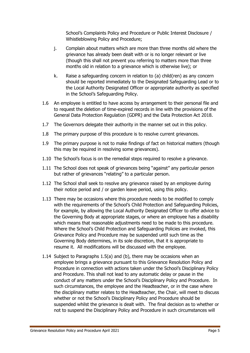School's Complaints Policy and Procedure or Public Interest Disclosure / Whistleblowing Policy and Procedure;

- j. Complain about matters which are more than three months old where the grievance has already been dealt with or is no longer relevant or live (though this shall not prevent you referring to matters more than three months old in relation to a grievance which is otherwise live); or
- k. Raise a safeguarding concern in relation to (a) child(ren) as any concern should be reported immediately to the Designated Safeguarding Lead or to the Local Authority Designated Officer or appropriate authority as specified in the School's Safeguarding Policy.
- 1.6 An employee is entitled to have access by arrangement to their personal file and to request the deletion of time-expired records in line with the provisions of the General Data Protection Regulation (GDPR) and the Data Protection Act 2018.
- 1.7 The Governors delegate their authority in the manner set out in this policy.
- 1.8 The primary purpose of this procedure is to resolve current grievances.
- 1.9 The primary purpose is not to make findings of fact on historical matters (though this may be required in resolving some grievances).
- 1.10 The School's focus is on the remedial steps required to resolve a grievance.
- 1.11 The School does not speak of grievances being "against" any particular person but rather of grievances "relating" to a particular person.
- 1.12 The School shall seek to resolve any grievance raised by an employee during their notice period and / or garden leave period, using this policy.
- 1.13 There may be occasions where this procedure needs to be modified to comply with the requirements of the School's Child Protection and Safeguarding Policies, for example, by allowing the Local Authority Designated Officer to offer advice to the Governing Body at appropriate stages, or where an employee has a disability which means that reasonable adjustments need to be made to this procedure. Where the School's Child Protection and Safeguarding Policies are invoked, this Grievance Policy and Procedure may be suspended until such time as the Governing Body determines, in its sole discretion, that it is appropriate to resume it. All modifications will be discussed with the employee.
- 1.14 Subject to Paragraphs 1.5(a) and (b), there may be occasions when an employee brings a grievance pursuant to this Grievance Resolution Policy and Procedure in connection with actions taken under the School's Disciplinary Policy and Procedure. This shall not lead to any automatic delay or pause in the conduct of any matters under the School's Disciplinary Policy and Procedure. In such circumstances, the employee and the Headteacher, or in the case where the disciplinary matter relates to the Headteacher, the Chair, will meet to discuss whether or not the School's Disciplinary Policy and Procedure should be suspended whilst the grievance is dealt with. The final decision as to whether or not to suspend the Disciplinary Policy and Procedure in such circumstances will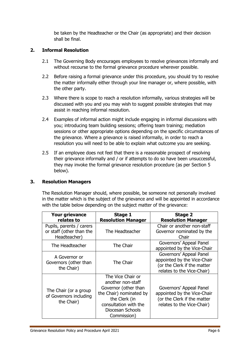be taken by the Headteacher or the Chair (as appropriate) and their decision shall be final.

#### **2. Informal Resolution**

- 2.1 The Governing Body encourages employees to resolve grievances informally and without recourse to the formal grievance procedure wherever possible.
- 2.2 Before raising a formal grievance under this procedure, you should try to resolve the matter informally either through your line manager or, where possible, with the other party.
- 2.3 Where there is scope to reach a resolution informally, various strategies will be discussed with you and you may wish to suggest possible strategies that may assist in reaching informal resolution.
- 2.4 Examples of informal action might include engaging in informal discussions with you; introducing team building sessions; offering team training; mediation sessions or other appropriate options depending on the specific circumstances of the grievance. Where a grievance is raised informally, in order to reach a resolution you will need to be able to explain what outcome you are seeking.
- 2.5 If an employee does not feel that there is a reasonable prospect of resolving their grievance informally and / or if attempts to do so have been unsuccessful, they may invoke the formal grievance resolution procedure (as per Section 5 below).

#### **3. Resolution Managers**

The Resolution Manager should, where possible, be someone not personally involved in the matter which is the subject of the grievance and will be appointed in accordance with the table below depending on the subject matter of the grievance:

| <b>Your grievance</b><br>relates to                                  | Stage 1<br><b>Resolution Manager</b>                                                                                                                                   | <b>Stage 2</b><br><b>Resolution Manager</b>                                                                         |
|----------------------------------------------------------------------|------------------------------------------------------------------------------------------------------------------------------------------------------------------------|---------------------------------------------------------------------------------------------------------------------|
| Pupils, parents / carers<br>or staff (other than the<br>Headteacher) | The Headteacher                                                                                                                                                        | Chair or another non-staff<br>Governor nominated by the<br>Chair                                                    |
| The Headteacher                                                      | The Chair                                                                                                                                                              | Governors' Appeal Panel<br>appointed by the Vice-Chair                                                              |
| A Governor or<br>Governors (other than<br>the Chair)                 | The Chair                                                                                                                                                              | Governors' Appeal Panel<br>appointed by the Vice-Chair<br>(or the Clerk if the matter<br>relates to the Vice-Chair) |
| The Chair (or a group<br>of Governors including<br>the Chair)        | The Vice Chair or<br>another non-staff<br>Governor (other than<br>the Chair) nominated by<br>the Clerk (in<br>consultation with the<br>Diocesan Schools<br>Commission) | Governors' Appeal Panel<br>appointed by the Vice-Chair<br>(or the Clerk if the matter<br>relates to the Vice-Chair) |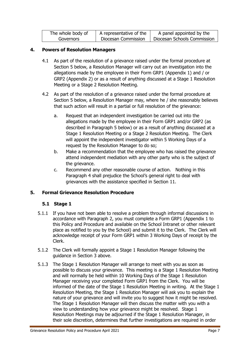| The whole body of | A representative of the | A panel appointed by the    |
|-------------------|-------------------------|-----------------------------|
| Governors         | Diocesan Commission     | Diocesan Schools Commission |

#### **4. Powers of Resolution Managers**

- 4.1 As part of the resolution of a grievance raised under the formal procedure at Section 5 below, a Resolution Manager will carry out an investigation into the allegations made by the employee in their Form GRP1 (Appendix 1) and / or GRP2 (Appendix 2) or as a result of anything discussed at a Stage 1 Resolution Meeting or a Stage 2 Resolution Meeting.
- 4.2 As part of the resolution of a grievance raised under the formal procedure at Section 5 below, a Resolution Manager may, where he / she reasonably believes that such action will result in a partial or full resolution of the grievance:
	- a. Request that an independent investigation be carried out into the allegations made by the employee in their Form GRP1 and/or GRP2 (as described in Paragraph 5 below) or as a result of anything discussed at a Stage 1 Resolution Meeting or a Stage 2 Resolution Meeting. The Clerk will appoint the independent investigator within 5 Working Days of a request by the Resolution Manager to do so;
	- b. Make a recommendation that the employee who has raised the grievance attend independent mediation with any other party who is the subject of the grievance.
	- c. Recommend any other reasonable course of action. Nothing in this Paragraph 4 shall prejudice the School's general right to deal with grievances with the assistance specified in Section 11.

#### **5. Formal Grievance Resolution Procedure**

#### **5.1 Stage 1**

- 5.1.1 If you have not been able to resolve a problem through informal discussions in accordance with Paragraph 2, you must complete a Form GRP1 (Appendix 1 to this Policy and Procedure and available on the School Intranet or other relevant place as notified to you by the School) and submit it to the Clerk. The Clerk will acknowledge receipt of your Form GRP1 within 3 Working Days of receipt by the Clerk.
- 5.1.2 The Clerk will formally appoint a Stage 1 Resolution Manager following the guidance in Section 3 above.
- 5.1.3 The Stage 1 Resolution Manager will arrange to meet with you as soon as possible to discuss your grievance. This meeting is a Stage 1 Resolution Meeting and will normally be held within 10 Working Days of the Stage 1 Resolution Manager receiving your completed Form GRP1 from the Clerk. You will be informed of the date of the Stage 1 Resolution Meeting in writing. At the Stage 1 Resolution Meeting, the Stage 1 Resolution Manager will ask you to explain the nature of your grievance and will invite you to suggest how it might be resolved. The Stage 1 Resolution Manager will then discuss the matter with you with a view to understanding how your grievance might be resolved. Stage 1 Resolution Meetings may be adjourned if the Stage 1 Resolution Manager, in their sole discretion, determines that further investigations are required in order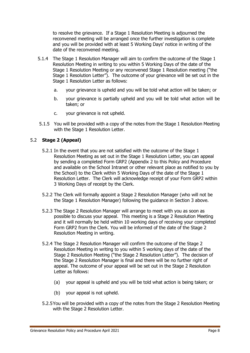to resolve the grievance. If a Stage 1 Resolution Meeting is adjourned the reconvened meeting will be arranged once the further investigation is complete and you will be provided with at least 5 Working Days' notice in writing of the date of the reconvened meeting.

- 5.1.4 The Stage 1 Resolution Manager will aim to confirm the outcome of the Stage 1 Resolution Meeting in writing to you within 5 Working Days of the date of the Stage 1 Resolution Meeting or any reconvened Stage 1 Resolution meeting ("the Stage 1 Resolution Letter"). The outcome of your grievance will be set out in the Stage 1 Resolution Letter as follows:
	- a. your grievance is upheld and you will be told what action will be taken; or
	- b. your grievance is partially upheld and you will be told what action will be taken; or
	- c. your grievance is not upheld.
- 5.1.5 You will be provided with a copy of the notes from the Stage 1 Resolution Meeting with the Stage 1 Resolution Letter.

#### 5.2 **Stage 2 (Appeal)**

- 5.2.1 In the event that you are not satisfied with the outcome of the Stage 1 Resolution Meeting as set out in the Stage 1 Resolution Letter, you can appeal by sending a completed Form GRP2 (Appendix 2 to this Policy and Procedure and available on the School Intranet or other relevant place as notified to you by the School) to the Clerk within 5 Working Days of the date of the Stage 1 Resolution Letter. The Clerk will acknowledge receipt of your Form GRP2 within 3 Working Days of receipt by the Clerk.
- 5.2.2 The Clerk will formally appoint a Stage 2 Resolution Manager (who will not be the Stage 1 Resolution Manager) following the guidance in Section 3 above.
- 5.2.3 The Stage 2 Resolution Manager will arrange to meet with you as soon as possible to discuss your appeal. This meeting is a Stage 2 Resolution Meeting and it will normally be held within 10 working days of receiving your completed Form GRP2 from the Clerk. You will be informed of the date of the Stage 2 Resolution Meeting in writing.
- 5.2.4 The Stage 2 Resolution Manager will confirm the outcome of the Stage 2 Resolution Meeting in writing to you within 5 working days of the date of the Stage 2 Resolution Meeting ("the Stage 2 Resolution Letter"). The decision of the Stage 2 Resolution Manager is final and there will be no further right of appeal. The outcome of your appeal will be set out in the Stage 2 Resolution Letter as follows:
	- (a) your appeal is upheld and you will be told what action is being taken; or
	- (b) your appeal is not upheld.
- 5.2.5You will be provided with a copy of the notes from the Stage 2 Resolution Meeting with the Stage 2 Resolution Letter.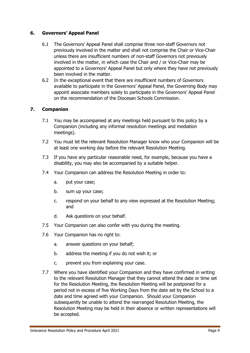#### **6. Governors' Appeal Panel**

- 6.1 The Governors' Appeal Panel shall comprise three non-staff Governors not previously involved in the matter and shall not comprise the Chair or Vice-Chair unless there are insufficient numbers of non-staff Governors not previously involved in the matter, in which case the Chair and / or Vice-Chair may be appointed to a Governors' Appeal Panel but only where they have not previously been involved in the matter.
- 6.2 In the exceptional event that there are insufficient numbers of Governors available to participate in the Governors' Appeal Panel, the Governing Body may appoint associate members solely to participate in the Governors' Appeal Panel on the recommendation of the Diocesan Schools Commission.

#### **7. Companion**

- 7.1 You may be accompanied at any meetings held pursuant to this policy by a Companion (including any informal resolution meetings and mediation meetings).
- 7.2 You must let the relevant Resolution Manager know who your Companion will be at least one working day before the relevant Resolution Meeting.
- 7.3 If you have any particular reasonable need, for example, because you have a disability, you may also be accompanied by a suitable helper.
- 7.4 Your Companion can address the Resolution Meeting in order to:
	- a. put your case;
	- b. sum up your case;
	- c. respond on your behalf to any view expressed at the Resolution Meeting; and
	- d. Ask questions on your behalf.
- 7.5 Your Companion can also confer with you during the meeting.
- 7.6 Your Companion has no right to:
	- a. answer questions on your behalf;
	- b. address the meeting if you do not wish it; or
	- c. prevent you from explaining your case.
- 7.7 Where you have identified your Companion and they have confirmed in writing to the relevant Resolution Manager that they cannot attend the date or time set for the Resolution Meeting, the Resolution Meeting will be postponed for a period not in excess of five Working Days from the date set by the School to a date and time agreed with your Companion. Should your Companion subsequently be unable to attend the rearranged Resolution Meeting, the Resolution Meeting may be held in their absence or written representations will be accepted.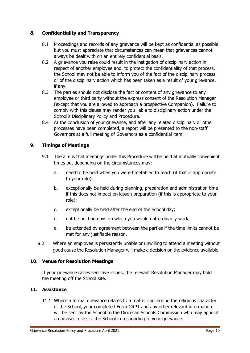#### **8. Confidentiality and Transparency**

- 8.1 Proceedings and records of any grievance will be kept as confidential as possible but you must appreciate that circumstances can mean that grievances cannot always be dealt with on an entirely confidential basis.
- 8.2 A grievance you raise could result in the instigation of disciplinary action in respect of another employee and, to protect the confidentiality of that process, the School may not be able to inform you of the fact of the disciplinary process or of the disciplinary action which has been taken as a result of your grievance, if any.
- 8.3 The parties should not disclose the fact or content of any grievance to any employee or third party without the express consent of the Resolution Manager (except that you are allowed to approach a prospective Companion). Failure to comply with this clause may render you liable to disciplinary action under the School's Disciplinary Policy and Procedure.
- 8.4 At the conclusion of your grievance, and after any related disciplinary or other processes have been completed, a report will be presented to the non-staff Governors at a full meeting of Governors as a confidential item.

#### **9. Timings of Meetings**

- 9.1 The aim is that meetings under this Procedure will be held at mutually convenient times but depending on the circumstances may:
	- a. need to be held when you were timetabled to teach (if that is appropriate to your role);
	- b. exceptionally be held during planning, preparation and administration time if this does not impact on lesson preparation (if this is appropriate to your role);
	- c. exceptionally be held after the end of the School day;
	- d. not be held on days on which you would not ordinarily work;
	- e. be extended by agreement between the parties if the time limits cannot be met for any justifiable reason.
- 9.2 Where an employee is persistently unable or unwilling to attend a meeting without good cause the Resolution Manager will make a decision on the evidence available.

#### **10. Venue for Resolution Meetings**

If your grievance raises sensitive issues, the relevant Resolution Manager may hold the meeting off the School site.

#### **11. Assistance**

11.1 Where a formal grievance relates to a matter concerning the religious character of the School, your completed Form GRP1 and any other relevant information will be sent by the School to the Diocesan Schools Commission who may appoint an adviser to assist the School in responding to your grievance.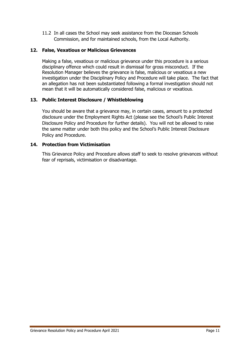11.2 In all cases the School may seek assistance from the Diocesan Schools Commission, and for maintained schools, from the Local Authority.

#### **12. False, Vexatious or Malicious Grievances**

Making a false, vexatious or malicious grievance under this procedure is a serious disciplinary offence which could result in dismissal for gross misconduct. If the Resolution Manager believes the grievance is false, malicious or vexatious a new investigation under the Disciplinary Policy and Procedure will take place. The fact that an allegation has not been substantiated following a formal investigation should not mean that it will be automatically considered false, malicious or vexatious.

#### **13. Public Interest Disclosure / Whistleblowing**

You should be aware that a grievance may, in certain cases, amount to a protected disclosure under the Employment Rights Act (please see the School's Public Interest Disclosure Policy and Procedure for further details). You will not be allowed to raise the same matter under both this policy and the School's Public Interest Disclosure Policy and Procedure.

#### **14. Protection from Victimisation**

This Grievance Policy and Procedure allows staff to seek to resolve grievances without fear of reprisals, victimisation or disadvantage.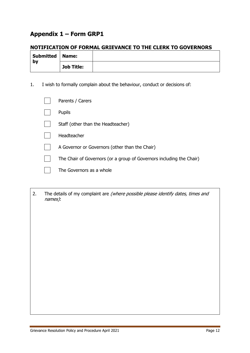### **Appendix 1 – Form GRP1**

#### **NOTIFICATION OF FORMAL GRIEVANCE TO THE CLERK TO GOVERNORS**

| Submitted   Name: |                   |  |
|-------------------|-------------------|--|
| by                | <b>Job Title:</b> |  |

1. I wish to formally complain about the behaviour, conduct or decisions of:

| Parents / Carers                                                     |
|----------------------------------------------------------------------|
| <b>Pupils</b>                                                        |
| Staff (other than the Headteacher)                                   |
| Headteacher                                                          |
| A Governor or Governors (other than the Chair)                       |
| The Chair of Governors (or a group of Governors including the Chair) |
| The Governors as a whole                                             |

2. The details of my complaint are (where possible please identify dates, times and names):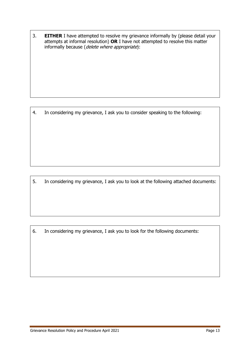3. **EITHER** I have attempted to resolve my grievance informally by (please detail your attempts at informal resolution) **OR** I have not attempted to resolve this matter informally because (delete where appropriate):

4. In considering my grievance, I ask you to consider speaking to the following:

5. In considering my grievance, I ask you to look at the following attached documents:

6. In considering my grievance, I ask you to look for the following documents: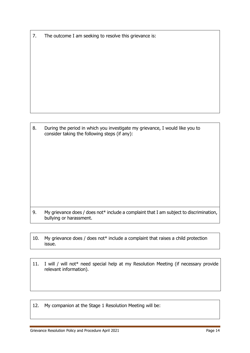7. The outcome I am seeking to resolve this grievance is:

8. During the period in which you investigate my grievance, I would like you to consider taking the following steps (if any):

- 9. My grievance does / does not\* include a complaint that I am subject to discrimination, bullying or harassment.
- 10. My grievance does / does not\* include a complaint that raises a child protection issue.
- 11. I will / will not\* need special help at my Resolution Meeting (if necessary provide relevant information).
- 12. My companion at the Stage 1 Resolution Meeting will be: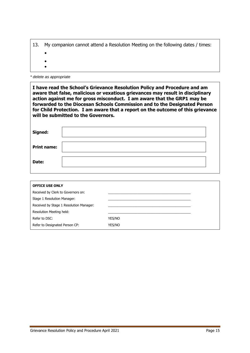|  | 13. My companion cannot attend a Resolution Meeting on the following dates / times: |  |  |  |  |  |  |  |
|--|-------------------------------------------------------------------------------------|--|--|--|--|--|--|--|
|--|-------------------------------------------------------------------------------------|--|--|--|--|--|--|--|

- $\bullet$
- $\bullet$
- $\bullet$

*\* delete as appropriate* 

**I have read the School's Grievance Resolution Policy and Procedure and am aware that false, malicious or vexatious grievances may result in disciplinary action against me for gross misconduct. I am aware that the GRP1 may be forwarded to the Diocesan Schools Commission and to the Designated Person for Child Protection. I am aware that a report on the outcome of this grievance will be submitted to the Governors.**

| Signed:            |  |
|--------------------|--|
| <b>Print name:</b> |  |
| Date:              |  |
|                    |  |

| <b>OFFICE USE ONLY</b>                  |        |
|-----------------------------------------|--------|
| Received by Clerk to Governors on:      |        |
| Stage 1 Resolution Manager:             |        |
| Received by Stage 1 Resolution Manager: |        |
| Resolution Meeting held:                |        |
| Refer to DSC:                           | YES/NO |
| Refer to Designated Person CP:          | YES/NO |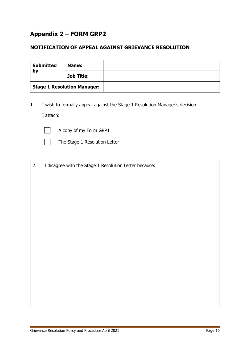### **Appendix 2 – FORM GRP2**

#### **NOTIFICATION OF APPEAL AGAINST GRIEVANCE RESOLUTION**

| <b>Submitted</b><br>by | Name:                              |  |
|------------------------|------------------------------------|--|
|                        | <b>Job Title:</b>                  |  |
|                        | <b>Stage 1 Resolution Manager:</b> |  |

1. I wish to formally appeal against the Stage 1 Resolution Manager's decision. I attach:



A copy of my Form GRP1



The Stage 1 Resolution Letter

2. I disagree with the Stage 1 Resolution Letter because: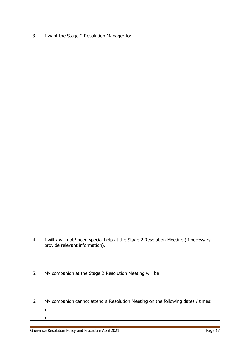3. I want the Stage 2 Resolution Manager to:

4. I will / will not\* need special help at the Stage 2 Resolution Meeting (if necessary provide relevant information).

5. My companion at the Stage 2 Resolution Meeting will be:

6. My companion cannot attend a Resolution Meeting on the following dates / times:  $\bullet$  $\bullet$